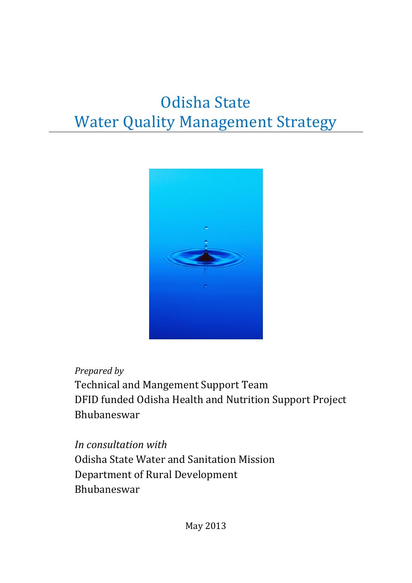# Odisha State Water Quality Management Strategy



## *Prepared by*

Technical and Mangement Support Team DFID funded Odisha Health and Nutrition Support Project Bhubaneswar

*In consultation with*  Odisha State Water and Sanitation Mission Department of Rural Development Bhubaneswar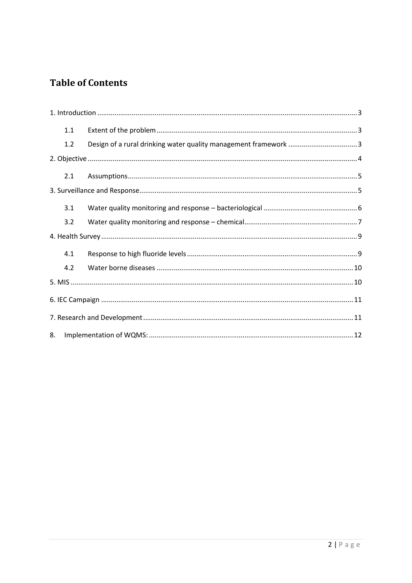## **Table of Contents**

| 1.1 |  |  |
|-----|--|--|
| 1.2 |  |  |
|     |  |  |
| 2.1 |  |  |
|     |  |  |
| 3.1 |  |  |
| 3.2 |  |  |
|     |  |  |
| 4.1 |  |  |
| 4.2 |  |  |
|     |  |  |
|     |  |  |
|     |  |  |
| 8.  |  |  |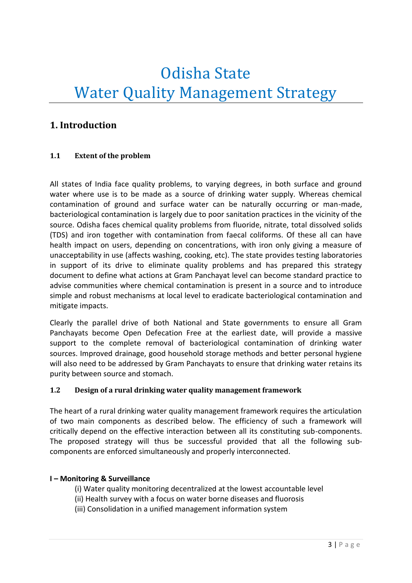# Odisha State Water Quality Management Strategy

## <span id="page-2-0"></span>**1. Introduction**

#### <span id="page-2-1"></span>**1.1 Extent of the problem**

All states of India face quality problems, to varying degrees, in both surface and ground water where use is to be made as a source of drinking water supply. Whereas chemical contamination of ground and surface water can be naturally occurring or man-made, bacteriological contamination is largely due to poor sanitation practices in the vicinity of the source. Odisha faces chemical quality problems from fluoride, nitrate, total dissolved solids (TDS) and iron together with contamination from faecal coliforms. Of these all can have health impact on users, depending on concentrations, with iron only giving a measure of unacceptability in use (affects washing, cooking, etc). The state provides testing laboratories in support of its drive to eliminate quality problems and has prepared this strategy document to define what actions at Gram Panchayat level can become standard practice to advise communities where chemical contamination is present in a source and to introduce simple and robust mechanisms at local level to eradicate bacteriological contamination and mitigate impacts.

Clearly the parallel drive of both National and State governments to ensure all Gram Panchayats become Open Defecation Free at the earliest date, will provide a massive support to the complete removal of bacteriological contamination of drinking water sources. Improved drainage, good household storage methods and better personal hygiene will also need to be addressed by Gram Panchayats to ensure that drinking water retains its purity between source and stomach.

#### <span id="page-2-2"></span>**1.2 Design of a rural drinking water quality management framework**

The heart of a rural drinking water quality management framework requires the articulation of two main components as described below. The efficiency of such a framework will critically depend on the effective interaction between all its constituting sub-components. The proposed strategy will thus be successful provided that all the following subcomponents are enforced simultaneously and properly interconnected.

#### **I – Monitoring & Surveillance**

- (i) Water quality monitoring decentralized at the lowest accountable level
- (ii) Health survey with a focus on water borne diseases and fluorosis
- (iii) Consolidation in a unified management information system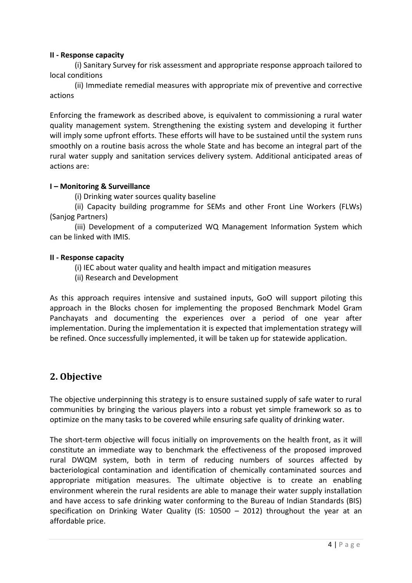#### **II - Response capacity**

(i) Sanitary Survey for risk assessment and appropriate response approach tailored to local conditions

(ii) Immediate remedial measures with appropriate mix of preventive and corrective actions

Enforcing the framework as described above, is equivalent to commissioning a rural water quality management system. Strengthening the existing system and developing it further will imply some upfront efforts. These efforts will have to be sustained until the system runs smoothly on a routine basis across the whole State and has become an integral part of the rural water supply and sanitation services delivery system. Additional anticipated areas of actions are:

#### **I – Monitoring & Surveillance**

(i) Drinking water sources quality baseline

(ii) Capacity building programme for SEMs and other Front Line Workers (FLWs) (Sanjog Partners)

(iii) Development of a computerized WQ Management Information System which can be linked with IMIS.

#### **II - Response capacity**

(i) IEC about water quality and health impact and mitigation measures

(ii) Research and Development

As this approach requires intensive and sustained inputs, GoO will support piloting this approach in the Blocks chosen for implementing the proposed Benchmark Model Gram Panchayats and documenting the experiences over a period of one year after implementation. During the implementation it is expected that implementation strategy will be refined. Once successfully implemented, it will be taken up for statewide application.

### <span id="page-3-0"></span>**2. Objective**

The objective underpinning this strategy is to ensure sustained supply of safe water to rural communities by bringing the various players into a robust yet simple framework so as to optimize on the many tasks to be covered while ensuring safe quality of drinking water.

The short-term objective will focus initially on improvements on the health front, as it will constitute an immediate way to benchmark the effectiveness of the proposed improved rural DWQM system, both in term of reducing numbers of sources affected by bacteriological contamination and identification of chemically contaminated sources and appropriate mitigation measures. The ultimate objective is to create an enabling environment wherein the rural residents are able to manage their water supply installation and have access to safe drinking water conforming to the Bureau of Indian Standards (BIS) specification on Drinking Water Quality (IS: 10500 – 2012) throughout the year at an affordable price.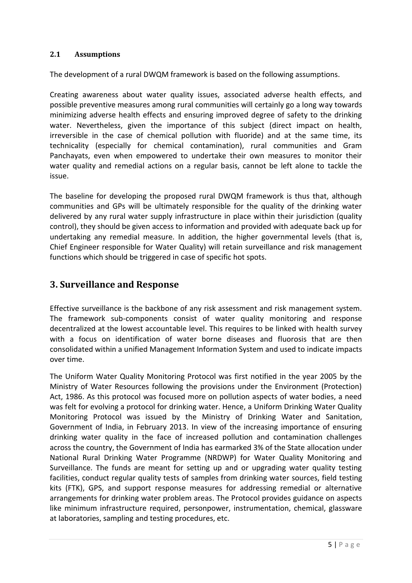#### <span id="page-4-0"></span>**2.1 Assumptions**

The development of a rural DWQM framework is based on the following assumptions.

Creating awareness about water quality issues, associated adverse health effects, and possible preventive measures among rural communities will certainly go a long way towards minimizing adverse health effects and ensuring improved degree of safety to the drinking water. Nevertheless, given the importance of this subject (direct impact on health, irreversible in the case of chemical pollution with fluoride) and at the same time, its technicality (especially for chemical contamination), rural communities and Gram Panchayats, even when empowered to undertake their own measures to monitor their water quality and remedial actions on a regular basis, cannot be left alone to tackle the issue.

The baseline for developing the proposed rural DWQM framework is thus that, although communities and GPs will be ultimately responsible for the quality of the drinking water delivered by any rural water supply infrastructure in place within their jurisdiction (quality control), they should be given access to information and provided with adequate back up for undertaking any remedial measure. In addition, the higher governmental levels (that is, Chief Engineer responsible for Water Quality) will retain surveillance and risk management functions which should be triggered in case of specific hot spots.

### <span id="page-4-1"></span>**3. Surveillance and Response**

Effective surveillance is the backbone of any risk assessment and risk management system. The framework sub-components consist of water quality monitoring and response decentralized at the lowest accountable level. This requires to be linked with health survey with a focus on identification of water borne diseases and fluorosis that are then consolidated within a unified Management Information System and used to indicate impacts over time.

The Uniform Water Quality Monitoring Protocol was first notified in the year 2005 by the Ministry of Water Resources following the provisions under the Environment (Protection) Act, 1986. As this protocol was focused more on pollution aspects of water bodies, a need was felt for evolving a protocol for drinking water. Hence, a Uniform Drinking Water Quality Monitoring Protocol was issued by the Ministry of Drinking Water and Sanitation, Government of India, in February 2013. In view of the increasing importance of ensuring drinking water quality in the face of increased pollution and contamination challenges across the country, the Government of India has earmarked 3% of the State allocation under National Rural Drinking Water Programme (NRDWP) for Water Quality Monitoring and Surveillance. The funds are meant for setting up and or upgrading water quality testing facilities, conduct regular quality tests of samples from drinking water sources, field testing kits (FTK), GPS, and support response measures for addressing remedial or alternative arrangements for drinking water problem areas. The Protocol provides guidance on aspects like minimum infrastructure required, personpower, instrumentation, chemical, glassware at laboratories, sampling and testing procedures, etc.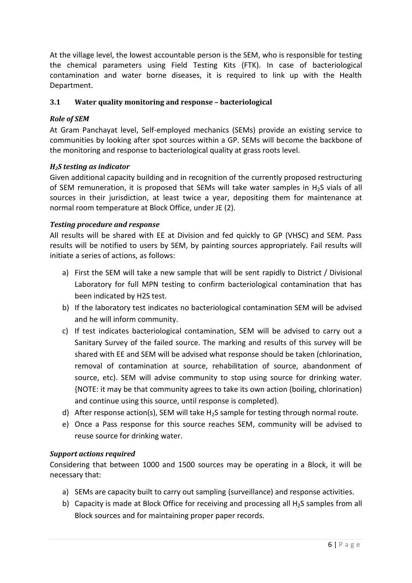At the village level, the lowest accountable person is the SEM, who is responsible for testing the chemical parameters using Field Testing Kits (FTK). In case of bacteriological contamination and water borne diseases, it is required to link up with the Health Department.

#### <span id="page-5-0"></span>**3.1 Water quality monitoring and response – bacteriological**

#### *Role of SEM*

At Gram Panchayat level, Self-employed mechanics (SEMs) provide an existing service to communities by looking after spot sources within a GP. SEMs will become the backbone of the monitoring and response to bacteriological quality at grass roots level.

#### *H2S testing as indicator*

Given additional capacity building and in recognition of the currently proposed restructuring of SEM remuneration, it is proposed that SEMs will take water samples in  $H_2S$  vials of all sources in their jurisdiction, at least twice a year, depositing them for maintenance at normal room temperature at Block Office, under JE (2).

#### *Testing procedure and response*

All results will be shared with EE at Division and fed quickly to GP (VHSC) and SEM. Pass results will be notified to users by SEM, by painting sources appropriately. Fail results will initiate a series of actions, as follows:

- a) First the SEM will take a new sample that will be sent rapidly to District / Divisional Laboratory for full MPN testing to confirm bacteriological contamination that has been indicated by H2S test.
- b) If the laboratory test indicates no bacteriological contamination SEM will be advised and he will inform community.
- c) If test indicates bacteriological contamination, SEM will be advised to carry out a Sanitary Survey of the failed source. The marking and results of this survey will be shared with EE and SEM will be advised what response should be taken (chlorination, removal of contamination at source, rehabilitation of source, abandonment of source, etc). SEM will advise community to stop using source for drinking water. {NOTE: it may be that community agrees to take its own action (boiling, chlorination) and continue using this source, until response is completed}.
- d) After response action(s), SEM will take  $H_2S$  sample for testing through normal route.
- e) Once a Pass response for this source reaches SEM, community will be advised to reuse source for drinking water.

#### *Support actions required*

Considering that between 1000 and 1500 sources may be operating in a Block, it will be necessary that:

- a) SEMs are capacity built to carry out sampling (surveillance) and response activities.
- b) Capacity is made at Block Office for receiving and processing all  $H_2S$  samples from all Block sources and for maintaining proper paper records.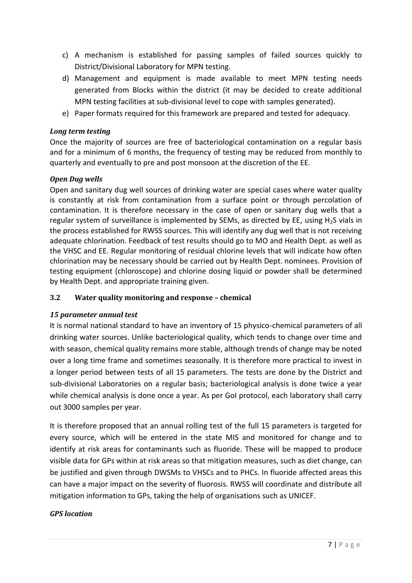- c) A mechanism is established for passing samples of failed sources quickly to District/Divisional Laboratory for MPN testing.
- d) Management and equipment is made available to meet MPN testing needs generated from Blocks within the district (it may be decided to create additional MPN testing facilities at sub-divisional level to cope with samples generated).
- e) Paper formats required for this framework are prepared and tested for adequacy.

#### *Long term testing*

Once the majority of sources are free of bacteriological contamination on a regular basis and for a minimum of 6 months, the frequency of testing may be reduced from monthly to quarterly and eventually to pre and post monsoon at the discretion of the EE.

#### *Open Dug wells*

Open and sanitary dug well sources of drinking water are special cases where water quality is constantly at risk from contamination from a surface point or through percolation of contamination. It is therefore necessary in the case of open or sanitary dug wells that a regular system of surveillance is implemented by SEMs, as directed by EE, using  $H_2S$  vials in the process established for RWSS sources. This will identify any dug well that is not receiving adequate chlorination. Feedback of test results should go to MO and Health Dept. as well as the VHSC and EE. Regular monitoring of residual chlorine levels that will indicate how often chlorination may be necessary should be carried out by Health Dept. nominees. Provision of testing equipment (chloroscope) and chlorine dosing liquid or powder shall be determined by Health Dept. and appropriate training given.

#### <span id="page-6-0"></span>**3.2 Water quality monitoring and response – chemical**

#### *15 parameter annual test*

It is normal national standard to have an inventory of 15 physico-chemical parameters of all drinking water sources. Unlike bacteriological quality, which tends to change over time and with season, chemical quality remains more stable, although trends of change may be noted over a long time frame and sometimes seasonally. It is therefore more practical to invest in a longer period between tests of all 15 parameters. The tests are done by the District and sub-divisional Laboratories on a regular basis; bacteriological analysis is done twice a year while chemical analysis is done once a year. As per GoI protocol, each laboratory shall carry out 3000 samples per year.

It is therefore proposed that an annual rolling test of the full 15 parameters is targeted for every source, which will be entered in the state MIS and monitored for change and to identify at risk areas for contaminants such as fluoride. These will be mapped to produce visible data for GPs within at risk areas so that mitigation measures, such as diet change, can be justified and given through DWSMs to VHSCs and to PHCs. In fluoride affected areas this can have a major impact on the severity of fluorosis. RWSS will coordinate and distribute all mitigation information to GPs, taking the help of organisations such as UNICEF.

#### *GPS location*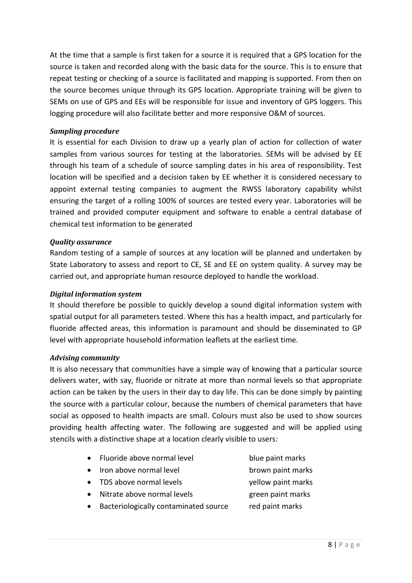At the time that a sample is first taken for a source it is required that a GPS location for the source is taken and recorded along with the basic data for the source. This is to ensure that repeat testing or checking of a source is facilitated and mapping is supported. From then on the source becomes unique through its GPS location. Appropriate training will be given to SEMs on use of GPS and EEs will be responsible for issue and inventory of GPS loggers. This logging procedure will also facilitate better and more responsive O&M of sources.

#### *Sampling procedure*

It is essential for each Division to draw up a yearly plan of action for collection of water samples from various sources for testing at the laboratories. SEMs will be advised by EE through his team of a schedule of source sampling dates in his area of responsibility. Test location will be specified and a decision taken by EE whether it is considered necessary to appoint external testing companies to augment the RWSS laboratory capability whilst ensuring the target of a rolling 100% of sources are tested every year. Laboratories will be trained and provided computer equipment and software to enable a central database of chemical test information to be generated

#### *Quality assurance*

Random testing of a sample of sources at any location will be planned and undertaken by State Laboratory to assess and report to CE, SE and EE on system quality. A survey may be carried out, and appropriate human resource deployed to handle the workload.

#### *Digital information system*

It should therefore be possible to quickly develop a sound digital information system with spatial output for all parameters tested. Where this has a health impact, and particularly for fluoride affected areas, this information is paramount and should be disseminated to GP level with appropriate household information leaflets at the earliest time.

#### *Advising community*

It is also necessary that communities have a simple way of knowing that a particular source delivers water, with say, fluoride or nitrate at more than normal levels so that appropriate action can be taken by the users in their day to day life. This can be done simply by painting the source with a particular colour, because the numbers of chemical parameters that have social as opposed to health impacts are small. Colours must also be used to show sources providing health affecting water. The following are suggested and will be applied using stencils with a distinctive shape at a location clearly visible to users:

- Fluoride above normal level blue paint marks
- Iron above normal level brown paint marks
- TDS above normal levels vellow paint marks
- Nitrate above normal levels green paint marks
- 
- Bacteriologically contaminated source red paint marks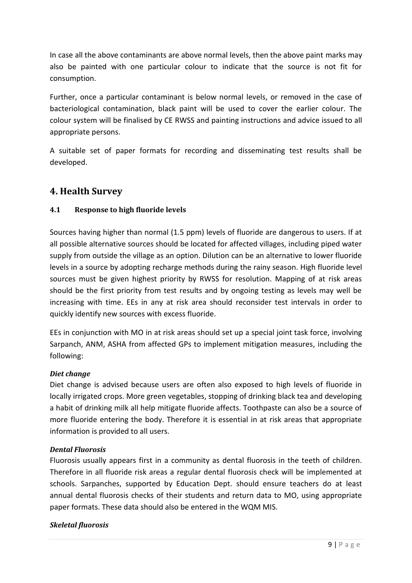In case all the above contaminants are above normal levels, then the above paint marks may also be painted with one particular colour to indicate that the source is not fit for consumption.

Further, once a particular contaminant is below normal levels, or removed in the case of bacteriological contamination, black paint will be used to cover the earlier colour. The colour system will be finalised by CE RWSS and painting instructions and advice issued to all appropriate persons.

A suitable set of paper formats for recording and disseminating test results shall be developed.

## <span id="page-8-0"></span>**4. Health Survey**

#### <span id="page-8-1"></span>**4.1 Response to high fluoride levels**

Sources having higher than normal (1.5 ppm) levels of fluoride are dangerous to users. If at all possible alternative sources should be located for affected villages, including piped water supply from outside the village as an option. Dilution can be an alternative to lower fluoride levels in a source by adopting recharge methods during the rainy season. High fluoride level sources must be given highest priority by RWSS for resolution. Mapping of at risk areas should be the first priority from test results and by ongoing testing as levels may well be increasing with time. EEs in any at risk area should reconsider test intervals in order to quickly identify new sources with excess fluoride.

EEs in conjunction with MO in at risk areas should set up a special joint task force, involving Sarpanch, ANM, ASHA from affected GPs to implement mitigation measures, including the following:

#### *Diet change*

Diet change is advised because users are often also exposed to high levels of fluoride in locally irrigated crops. More green vegetables, stopping of drinking black tea and developing a habit of drinking milk all help mitigate fluoride affects. Toothpaste can also be a source of more fluoride entering the body. Therefore it is essential in at risk areas that appropriate information is provided to all users.

#### *Dental Fluorosis*

Fluorosis usually appears first in a community as dental fluorosis in the teeth of children. Therefore in all fluoride risk areas a regular dental fluorosis check will be implemented at schools. Sarpanches, supported by Education Dept. should ensure teachers do at least annual dental fluorosis checks of their students and return data to MO, using appropriate paper formats. These data should also be entered in the WQM MIS.

#### *Skeletal fluorosis*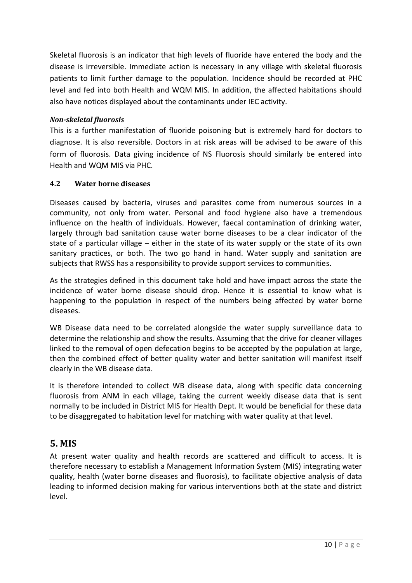Skeletal fluorosis is an indicator that high levels of fluoride have entered the body and the disease is irreversible. Immediate action is necessary in any village with skeletal fluorosis patients to limit further damage to the population. Incidence should be recorded at PHC level and fed into both Health and WQM MIS. In addition, the affected habitations should also have notices displayed about the contaminants under IEC activity.

#### *Non-skeletal fluorosis*

This is a further manifestation of fluoride poisoning but is extremely hard for doctors to diagnose. It is also reversible. Doctors in at risk areas will be advised to be aware of this form of fluorosis. Data giving incidence of NS Fluorosis should similarly be entered into Health and WQM MIS via PHC.

#### <span id="page-9-0"></span>**4.2 Water borne diseases**

Diseases caused by bacteria, viruses and parasites come from numerous sources in a community, not only from water. Personal and food hygiene also have a tremendous influence on the health of individuals. However, faecal contamination of drinking water, largely through bad sanitation cause water borne diseases to be a clear indicator of the state of a particular village – either in the state of its water supply or the state of its own sanitary practices, or both. The two go hand in hand. Water supply and sanitation are subjects that RWSS has a responsibility to provide support services to communities.

As the strategies defined in this document take hold and have impact across the state the incidence of water borne disease should drop. Hence it is essential to know what is happening to the population in respect of the numbers being affected by water borne diseases.

WB Disease data need to be correlated alongside the water supply surveillance data to determine the relationship and show the results. Assuming that the drive for cleaner villages linked to the removal of open defecation begins to be accepted by the population at large, then the combined effect of better quality water and better sanitation will manifest itself clearly in the WB disease data.

It is therefore intended to collect WB disease data, along with specific data concerning fluorosis from ANM in each village, taking the current weekly disease data that is sent normally to be included in District MIS for Health Dept. It would be beneficial for these data to be disaggregated to habitation level for matching with water quality at that level.

## <span id="page-9-1"></span>**5. MIS**

At present water quality and health records are scattered and difficult to access. It is therefore necessary to establish a Management Information System (MIS) integrating water quality, health (water borne diseases and fluorosis), to facilitate objective analysis of data leading to informed decision making for various interventions both at the state and district level.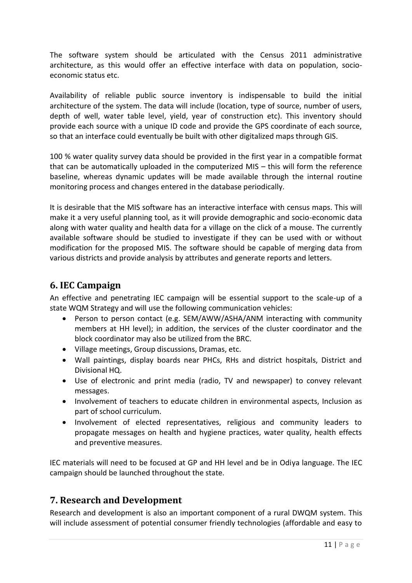The software system should be articulated with the Census 2011 administrative architecture, as this would offer an effective interface with data on population, socioeconomic status etc.

Availability of reliable public source inventory is indispensable to build the initial architecture of the system. The data will include (location, type of source, number of users, depth of well, water table level, yield, year of construction etc). This inventory should provide each source with a unique ID code and provide the GPS coordinate of each source, so that an interface could eventually be built with other digitalized maps through GIS.

100 % water quality survey data should be provided in the first year in a compatible format that can be automatically uploaded in the computerized MIS – this will form the reference baseline, whereas dynamic updates will be made available through the internal routine monitoring process and changes entered in the database periodically.

It is desirable that the MIS software has an interactive interface with census maps. This will make it a very useful planning tool, as it will provide demographic and socio-economic data along with water quality and health data for a village on the click of a mouse. The currently available software should be studied to investigate if they can be used with or without modification for the proposed MIS. The software should be capable of merging data from various districts and provide analysis by attributes and generate reports and letters.

## <span id="page-10-0"></span>**6. IEC Campaign**

An effective and penetrating IEC campaign will be essential support to the scale-up of a state WQM Strategy and will use the following communication vehicles:

- Person to person contact (e.g. SEM/AWW/ASHA/ANM interacting with community members at HH level); in addition, the services of the cluster coordinator and the block coordinator may also be utilized from the BRC.
- Village meetings, Group discussions, Dramas, etc.
- Wall paintings, display boards near PHCs, RHs and district hospitals, District and Divisional HQ.
- Use of electronic and print media (radio, TV and newspaper) to convey relevant messages.
- Involvement of teachers to educate children in environmental aspects, Inclusion as part of school curriculum.
- Involvement of elected representatives, religious and community leaders to propagate messages on health and hygiene practices, water quality, health effects and preventive measures.

IEC materials will need to be focused at GP and HH level and be in Odiya language. The IEC campaign should be launched throughout the state.

## <span id="page-10-1"></span>**7. Research and Development**

Research and development is also an important component of a rural DWQM system. This will include assessment of potential consumer friendly technologies (affordable and easy to